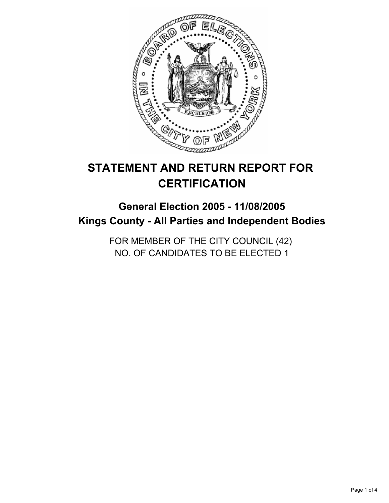

# **STATEMENT AND RETURN REPORT FOR CERTIFICATION**

## **General Election 2005 - 11/08/2005 Kings County - All Parties and Independent Bodies**

FOR MEMBER OF THE CITY COUNCIL (42) NO. OF CANDIDATES TO BE ELECTED 1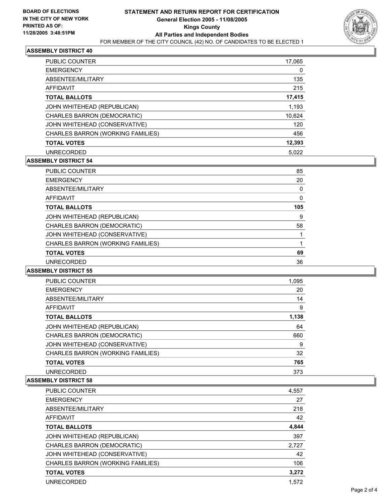

### **ASSEMBLY DISTRICT 40**

| <b>PUBLIC COUNTER</b>             | 17,065 |
|-----------------------------------|--------|
| <b>EMERGENCY</b>                  | 0      |
| ABSENTEE/MILITARY                 | 135    |
| AFFIDAVIT                         | 215    |
| <b>TOTAL BALLOTS</b>              | 17,415 |
| JOHN WHITEHEAD (REPUBLICAN)       | 1,193  |
| CHARLES BARRON (DEMOCRATIC)       | 10,624 |
| JOHN WHITEHEAD (CONSERVATIVE)     | 120    |
| CHARLES BARRON (WORKING FAMILIES) | 456    |
| <b>TOTAL VOTES</b>                | 12,393 |
| <b>UNRECORDED</b>                 | 5,022  |

### **ASSEMBLY DISTRICT 54**

| <b>PUBLIC COUNTER</b>             | 85  |
|-----------------------------------|-----|
| <b>EMERGENCY</b>                  | 20  |
| ABSENTEE/MILITARY                 |     |
| <b>AFFIDAVIT</b>                  |     |
| <b>TOTAL BALLOTS</b>              | 105 |
| JOHN WHITEHEAD (REPUBLICAN)       | 9   |
| CHARLES BARRON (DEMOCRATIC)       | 58  |
| JOHN WHITEHEAD (CONSERVATIVE)     |     |
| CHARLES BARRON (WORKING FAMILIES) |     |
| <b>TOTAL VOTES</b>                | 69  |
| <b>UNRECORDED</b>                 | 36  |

### **ASSEMBLY DISTRICT 55**

| <b>PUBLIC COUNTER</b>             | 1,095 |  |
|-----------------------------------|-------|--|
| <b>EMERGENCY</b>                  | 20    |  |
| ABSENTEE/MILITARY                 | 14    |  |
| AFFIDAVIT                         | 9     |  |
| <b>TOTAL BALLOTS</b>              | 1,138 |  |
| JOHN WHITEHEAD (REPUBLICAN)       | 64    |  |
| CHARLES BARRON (DEMOCRATIC)       | 660   |  |
| JOHN WHITEHEAD (CONSERVATIVE)     | 9     |  |
| CHARLES BARRON (WORKING FAMILIES) | 32    |  |
| <b>TOTAL VOTES</b>                | 765   |  |
| <b>UNRECORDED</b>                 | 373   |  |

#### **ASSEMBLY DISTRICT 58**

| <b>PUBLIC COUNTER</b>             | 4,557 |
|-----------------------------------|-------|
| <b>EMERGENCY</b>                  | 27    |
| ABSENTEE/MILITARY                 | 218   |
| AFFIDAVIT                         | 42    |
| <b>TOTAL BALLOTS</b>              | 4,844 |
| JOHN WHITEHEAD (REPUBLICAN)       | 397   |
| CHARLES BARRON (DEMOCRATIC)       | 2,727 |
| JOHN WHITEHEAD (CONSERVATIVE)     | 42    |
| CHARLES BARRON (WORKING FAMILIES) | 106   |
| <b>TOTAL VOTES</b>                | 3,272 |
| <b>UNRECORDED</b>                 | 1.572 |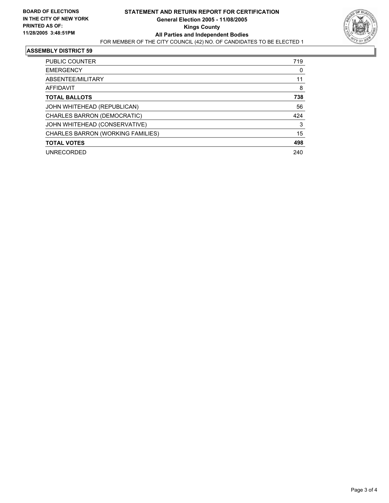

#### **ASSEMBLY DISTRICT 59**

| <b>PUBLIC COUNTER</b>             | 719 |
|-----------------------------------|-----|
| <b>EMERGENCY</b>                  | 0   |
| ABSENTEE/MILITARY                 | 11  |
| AFFIDAVIT                         | 8   |
| <b>TOTAL BALLOTS</b>              | 738 |
| JOHN WHITEHEAD (REPUBLICAN)       | 56  |
| CHARLES BARRON (DEMOCRATIC)       | 424 |
| JOHN WHITEHEAD (CONSERVATIVE)     | 3   |
| CHARLES BARRON (WORKING FAMILIES) | 15  |
| <b>TOTAL VOTES</b>                | 498 |
| <b>UNRECORDED</b>                 | 240 |